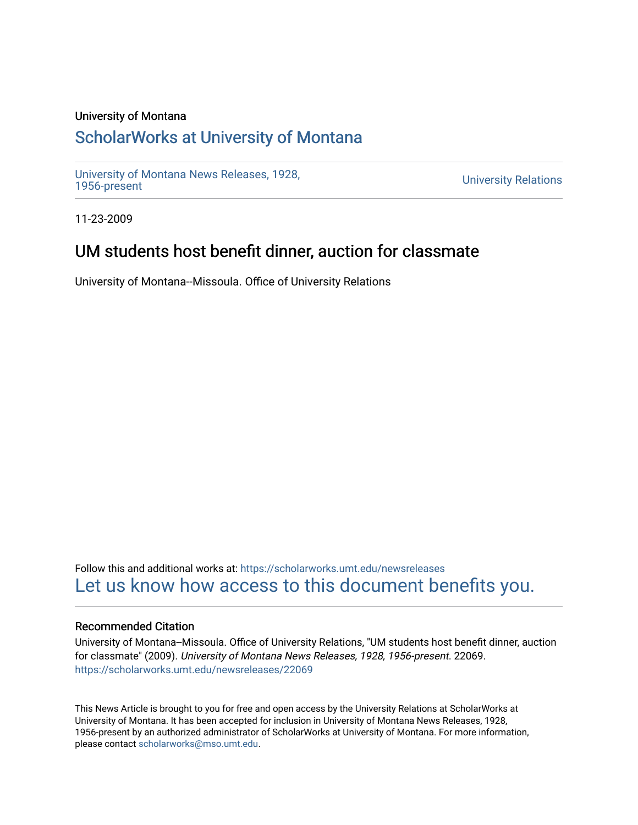#### University of Montana

## [ScholarWorks at University of Montana](https://scholarworks.umt.edu/)

[University of Montana News Releases, 1928,](https://scholarworks.umt.edu/newsreleases) 

**University Relations** 

11-23-2009

### UM students host benefit dinner, auction for classmate

University of Montana--Missoula. Office of University Relations

Follow this and additional works at: [https://scholarworks.umt.edu/newsreleases](https://scholarworks.umt.edu/newsreleases?utm_source=scholarworks.umt.edu%2Fnewsreleases%2F22069&utm_medium=PDF&utm_campaign=PDFCoverPages) [Let us know how access to this document benefits you.](https://goo.gl/forms/s2rGfXOLzz71qgsB2) 

#### Recommended Citation

University of Montana--Missoula. Office of University Relations, "UM students host benefit dinner, auction for classmate" (2009). University of Montana News Releases, 1928, 1956-present. 22069. [https://scholarworks.umt.edu/newsreleases/22069](https://scholarworks.umt.edu/newsreleases/22069?utm_source=scholarworks.umt.edu%2Fnewsreleases%2F22069&utm_medium=PDF&utm_campaign=PDFCoverPages) 

This News Article is brought to you for free and open access by the University Relations at ScholarWorks at University of Montana. It has been accepted for inclusion in University of Montana News Releases, 1928, 1956-present by an authorized administrator of ScholarWorks at University of Montana. For more information, please contact [scholarworks@mso.umt.edu.](mailto:scholarworks@mso.umt.edu)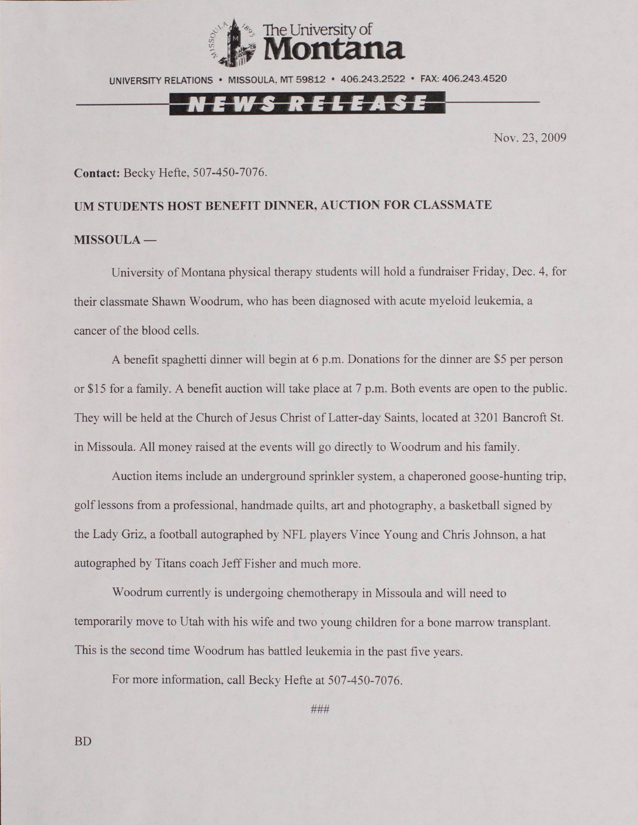

UNIVERSITY RELATIONS • MISSOULA, MT 59812 • 406.243.2522 • FAX: 406.243.4520

## EWS RELEASE

Nov. 23,2009

#### **Contact:** Becky Hefte. 507-450-7076.

# **UM STUDENTS HOST BENEFIT DINNER, AUCTION FOR CLASSMATE MISSOULA —**

University of Montana physical therapy students will hold a fundraiser Friday, Dec. 4, for their classmate Shawn Woodrum. who has been diagnosed with acute myeloid leukemia, a cancer of the blood cells.

A benefit spaghetti dinner will begin at 6 p.m. Donations for the dinner are \$5 per person or \$15 for a family. A benefit auction will take place at 7 p.m. Both events are open to the public. They will be held at the Church of Jesus Christ of Latter-day Saints, located at 3201 Bancroft St. in Missoula. All money raised at the events will go directly to Woodrum and his family.

Auction items include an underground sprinkler system, a chaperoned goose-hunting trip, golf lessons from a professional, handmade quilts, art and photography, a basketball signed by the Lady Griz, a football autographed by NFL players Vince Young and Chris Johnson, a hat autographed by Titans coach Jeff Fisher and much more.

Woodrum currently is undergoing chemotherapy in Missoula and will need to temporarily move to Utah with his wife and two young children for a bone marrow transplant. This is the second time Woodrum has battled leukemia in the past five years.

For more information, call Becky Hefte at 507-450-7076.

###